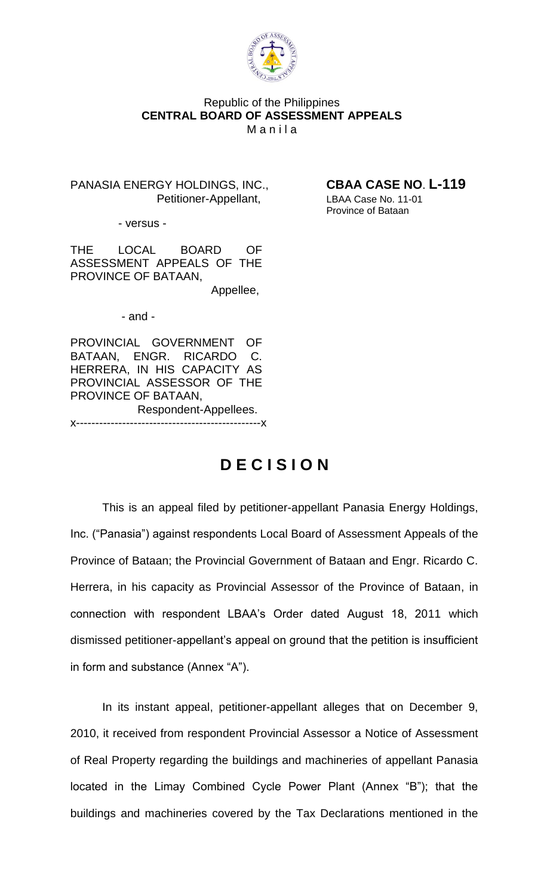

# Republic of the Philippines **CENTRAL BOARD OF ASSESSMENT APPEALS Manila**

PANASIA ENERGY HOLDINGS, INC., **CBAA CASE NO**. **L-119** Petitioner-Appellant, LBAA Case No. 11-01

Province of Bataan

- versus -

THE LOCAL BOARD OF ASSESSMENT APPEALS OF THE PROVINCE OF BATAAN,

Appellee,

- and -

PROVINCIAL GOVERNMENT OF BATAAN, ENGR. RICARDO C. HERRERA, IN HIS CAPACITY AS PROVINCIAL ASSESSOR OF THE PROVINCE OF BATAAN, Respondent-Appellees. x------------------------------------------------x

# **D E C I S I O N**

This is an appeal filed by petitioner-appellant Panasia Energy Holdings, Inc. ("Panasia") against respondents Local Board of Assessment Appeals of the Province of Bataan; the Provincial Government of Bataan and Engr. Ricardo C. Herrera, in his capacity as Provincial Assessor of the Province of Bataan, in connection with respondent LBAA's Order dated August 18, 2011 which dismissed petitioner-appellant's appeal on ground that the petition is insufficient in form and substance (Annex "A").

In its instant appeal, petitioner-appellant alleges that on December 9, 2010, it received from respondent Provincial Assessor a Notice of Assessment of Real Property regarding the buildings and machineries of appellant Panasia located in the Limay Combined Cycle Power Plant (Annex "B"); that the buildings and machineries covered by the Tax Declarations mentioned in the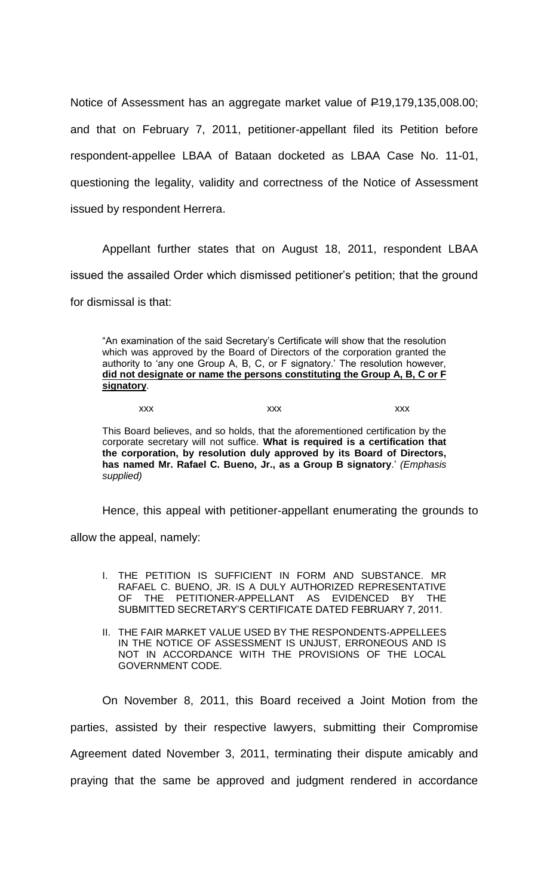Notice of Assessment has an aggregate market value of P19,179,135,008.00; and that on February 7, 2011, petitioner-appellant filed its Petition before respondent-appellee LBAA of Bataan docketed as LBAA Case No. 11-01, questioning the legality, validity and correctness of the Notice of Assessment issued by respondent Herrera.

Appellant further states that on August 18, 2011, respondent LBAA issued the assailed Order which dismissed petitioner's petition; that the ground for dismissal is that:

"An examination of the said Secretary's Certificate will show that the resolution which was approved by the Board of Directors of the corporation granted the authority to 'any one Group A, B, C, or F signatory.' The resolution however, **did not designate or name the persons constituting the Group A, B, C or F signatory**.

xxx xxx xxx xxx xxx

This Board believes, and so holds, that the aforementioned certification by the corporate secretary will not suffice. **What is required is a certification that the corporation, by resolution duly approved by its Board of Directors, has named Mr. Rafael C. Bueno, Jr., as a Group B signatory**.' *(Emphasis supplied)*

Hence, this appeal with petitioner-appellant enumerating the grounds to

allow the appeal, namely:

- I. THE PETITION IS SUFFICIENT IN FORM AND SUBSTANCE. MR RAFAEL C. BUENO, JR. IS A DULY AUTHORIZED REPRESENTATIVE OF THE PETITIONER-APPELLANT AS EVIDENCED BY THE SUBMITTED SECRETARY'S CERTIFICATE DATED FEBRUARY 7, 2011.
- II. THE FAIR MARKET VALUE USED BY THE RESPONDENTS-APPELLEES IN THE NOTICE OF ASSESSMENT IS UNJUST, ERRONEOUS AND IS NOT IN ACCORDANCE WITH THE PROVISIONS OF THE LOCAL GOVERNMENT CODE.

On November 8, 2011, this Board received a Joint Motion from the parties, assisted by their respective lawyers, submitting their Compromise Agreement dated November 3, 2011, terminating their dispute amicably and praying that the same be approved and judgment rendered in accordance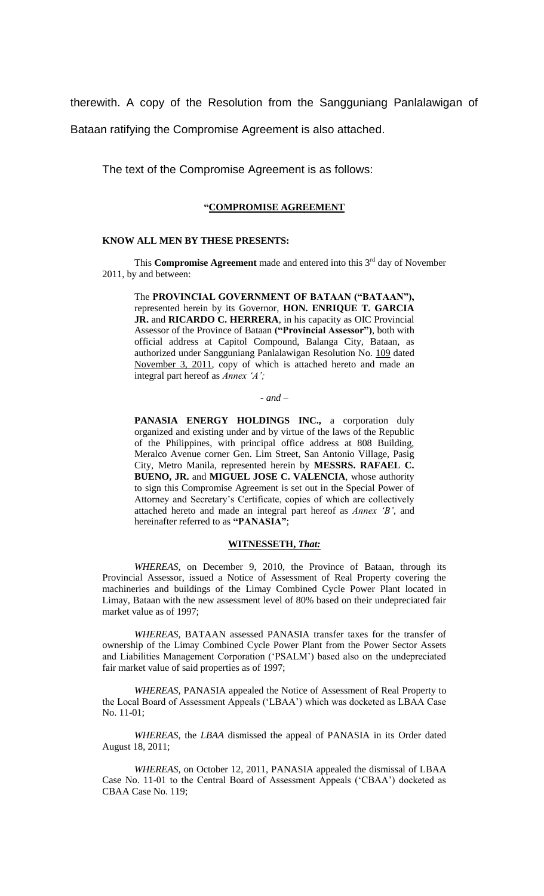therewith. A copy of the Resolution from the Sangguniang Panlalawigan of

Bataan ratifying the Compromise Agreement is also attached.

The text of the Compromise Agreement is as follows:

# **"COMPROMISE AGREEMENT**

#### **KNOW ALL MEN BY THESE PRESENTS:**

This **Compromise Agreement** made and entered into this 3<sup>rd</sup> day of November 2011, by and between:

The **PROVINCIAL GOVERNMENT OF BATAAN ("BATAAN"),**  represented herein by its Governor, **HON. ENRIQUE T. GARCIA JR.** and **RICARDO C. HERRERA**, in his capacity as OIC Provincial Assessor of the Province of Bataan **("Provincial Assessor")**, both with official address at Capitol Compound, Balanga City, Bataan, as authorized under Sangguniang Panlalawigan Resolution No. 109 dated November 3, 2011, copy of which is attached hereto and made an integral part hereof as *Annex 'A';*

#### *- and –*

PANASIA ENERGY HOLDINGS INC., a corporation duly organized and existing under and by virtue of the laws of the Republic of the Philippines, with principal office address at 808 Building, Meralco Avenue corner Gen. Lim Street, San Antonio Village, Pasig City, Metro Manila, represented herein by **MESSRS. RAFAEL C. BUENO, JR.** and **MIGUEL JOSE C. VALENCIA**, whose authority to sign this Compromise Agreement is set out in the Special Power of Attorney and Secretary's Certificate, copies of which are collectively attached hereto and made an integral part hereof as *Annex 'B'*, and hereinafter referred to as **"PANASIA"**;

### **WITNESSETH,** *That:*

*WHEREAS,* on December 9, 2010, the Province of Bataan, through its Provincial Assessor, issued a Notice of Assessment of Real Property covering the machineries and buildings of the Limay Combined Cycle Power Plant located in Limay, Bataan with the new assessment level of 80% based on their undepreciated fair market value as of 1997;

*WHEREAS,* BATAAN assessed PANASIA transfer taxes for the transfer of ownership of the Limay Combined Cycle Power Plant from the Power Sector Assets and Liabilities Management Corporation ('PSALM') based also on the undepreciated fair market value of said properties as of 1997;

*WHEREAS,* PANASIA appealed the Notice of Assessment of Real Property to the Local Board of Assessment Appeals ('LBAA') which was docketed as LBAA Case No. 11-01;

*WHEREAS,* the *LBAA* dismissed the appeal of PANASIA in its Order dated August 18, 2011;

*WHEREAS,* on October 12, 2011, PANASIA appealed the dismissal of LBAA Case No. 11-01 to the Central Board of Assessment Appeals ('CBAA') docketed as CBAA Case No. 119;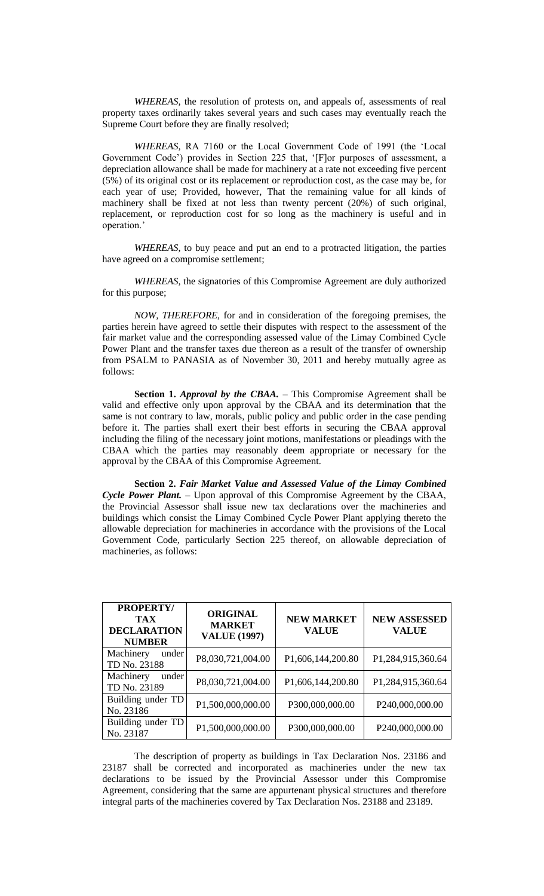*WHEREAS,* the resolution of protests on, and appeals of, assessments of real property taxes ordinarily takes several years and such cases may eventually reach the Supreme Court before they are finally resolved;

*WHEREAS,* RA 7160 or the Local Government Code of 1991 (the 'Local Government Code') provides in Section 225 that, '[F]or purposes of assessment, a depreciation allowance shall be made for machinery at a rate not exceeding five percent (5%) of its original cost or its replacement or reproduction cost, as the case may be, for each year of use; Provided, however, That the remaining value for all kinds of machinery shall be fixed at not less than twenty percent (20%) of such original, replacement, or reproduction cost for so long as the machinery is useful and in operation.'

*WHEREAS,* to buy peace and put an end to a protracted litigation, the parties have agreed on a compromise settlement;

*WHEREAS,* the signatories of this Compromise Agreement are duly authorized for this purpose;

*NOW, THEREFORE,* for and in consideration of the foregoing premises, the parties herein have agreed to settle their disputes with respect to the assessment of the fair market value and the corresponding assessed value of the Limay Combined Cycle Power Plant and the transfer taxes due thereon as a result of the transfer of ownership from PSALM to PANASIA as of November 30, 2011 and hereby mutually agree as follows:

**Section 1.** *Approval by the CBAA. –* This Compromise Agreement shall be valid and effective only upon approval by the CBAA and its determination that the same is not contrary to law, morals, public policy and public order in the case pending before it. The parties shall exert their best efforts in securing the CBAA approval including the filing of the necessary joint motions, manifestations or pleadings with the CBAA which the parties may reasonably deem appropriate or necessary for the approval by the CBAA of this Compromise Agreement.

**Section 2.** *Fair Market Value and Assessed Value of the Limay Combined Cycle Power Plant.* – Upon approval of this Compromise Agreement by the CBAA, the Provincial Assessor shall issue new tax declarations over the machineries and buildings which consist the Limay Combined Cycle Power Plant applying thereto the allowable depreciation for machineries in accordance with the provisions of the Local Government Code, particularly Section 225 thereof, on allowable depreciation of machineries, as follows:

| <b>PROPERTY/</b><br><b>TAX</b><br><b>DECLARATION</b><br><b>NUMBER</b> | <b>ORIGINAL</b><br><b>MARKET</b><br><b>VALUE (1997)</b> | <b>NEW MARKET</b><br><b>VALUE</b> | <b>NEW ASSESSED</b><br><b>VALUE</b> |
|-----------------------------------------------------------------------|---------------------------------------------------------|-----------------------------------|-------------------------------------|
| Machinery<br>under<br>TD No. 23188                                    | P8,030,721,004.00                                       | P1,606,144,200.80                 | P1,284,915,360.64                   |
| Machinery<br>under<br>TD No. 23189                                    | P8,030,721,004.00                                       | P1,606,144,200.80                 | P1,284,915,360.64                   |
| Building under TD<br>No. 23186                                        | P1,500,000,000.00                                       | P300,000,000.00                   | P240,000,000.00                     |
| Building under TD<br>No. 23187                                        | P1,500,000,000.00                                       | P300,000,000.00                   | P240,000,000.00                     |

The description of property as buildings in Tax Declaration Nos. 23186 and 23187 shall be corrected and incorporated as machineries under the new tax declarations to be issued by the Provincial Assessor under this Compromise Agreement, considering that the same are appurtenant physical structures and therefore integral parts of the machineries covered by Tax Declaration Nos. 23188 and 23189.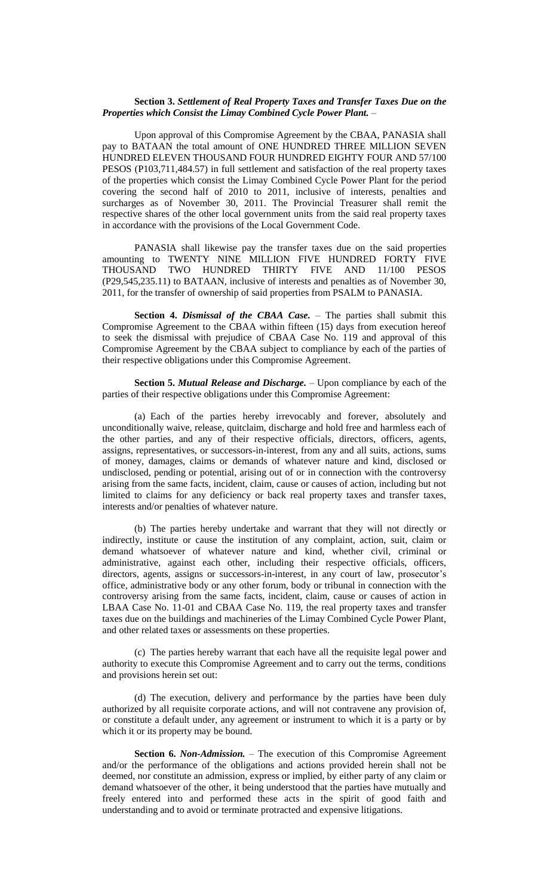#### **Section 3.** *Settlement of Real Property Taxes and Transfer Taxes Due on the Properties which Consist the Limay Combined Cycle Power Plant.* –

Upon approval of this Compromise Agreement by the CBAA, PANASIA shall pay to BATAAN the total amount of ONE HUNDRED THREE MILLION SEVEN HUNDRED ELEVEN THOUSAND FOUR HUNDRED EIGHTY FOUR AND 57/100 PESOS (P103,711,484.57) in full settlement and satisfaction of the real property taxes of the properties which consist the Limay Combined Cycle Power Plant for the period covering the second half of 2010 to 2011, inclusive of interests, penalties and surcharges as of November 30, 2011. The Provincial Treasurer shall remit the respective shares of the other local government units from the said real property taxes in accordance with the provisions of the Local Government Code.

PANASIA shall likewise pay the transfer taxes due on the said properties amounting to TWENTY NINE MILLION FIVE HUNDRED FORTY FIVE THOUSAND TWO HUNDRED THIRTY FIVE AND 11/100 PESOS (P29,545,235.11) to BATAAN, inclusive of interests and penalties as of November 30, 2011, for the transfer of ownership of said properties from PSALM to PANASIA.

**Section 4.** *Dismissal of the CBAA Case.* – The parties shall submit this Compromise Agreement to the CBAA within fifteen (15) days from execution hereof to seek the dismissal with prejudice of CBAA Case No. 119 and approval of this Compromise Agreement by the CBAA subject to compliance by each of the parties of their respective obligations under this Compromise Agreement.

**Section 5.** *Mutual Release and Discharge.* – Upon compliance by each of the parties of their respective obligations under this Compromise Agreement:

(a) Each of the parties hereby irrevocably and forever, absolutely and unconditionally waive, release, quitclaim, discharge and hold free and harmless each of the other parties, and any of their respective officials, directors, officers, agents, assigns, representatives, or successors-in-interest, from any and all suits, actions, sums of money, damages, claims or demands of whatever nature and kind, disclosed or undisclosed, pending or potential, arising out of or in connection with the controversy arising from the same facts, incident, claim, cause or causes of action, including but not limited to claims for any deficiency or back real property taxes and transfer taxes, interests and/or penalties of whatever nature.

(b) The parties hereby undertake and warrant that they will not directly or indirectly, institute or cause the institution of any complaint, action, suit, claim or demand whatsoever of whatever nature and kind, whether civil, criminal or administrative, against each other, including their respective officials, officers, directors, agents, assigns or successors-in-interest, in any court of law, prosecutor's office, administrative body or any other forum, body or tribunal in connection with the controversy arising from the same facts, incident, claim, cause or causes of action in LBAA Case No. 11-01 and CBAA Case No. 119, the real property taxes and transfer taxes due on the buildings and machineries of the Limay Combined Cycle Power Plant, and other related taxes or assessments on these properties.

(c) The parties hereby warrant that each have all the requisite legal power and authority to execute this Compromise Agreement and to carry out the terms, conditions and provisions herein set out:

(d) The execution, delivery and performance by the parties have been duly authorized by all requisite corporate actions, and will not contravene any provision of, or constitute a default under, any agreement or instrument to which it is a party or by which it or its property may be bound.

**Section 6.** *Non-Admission.* – The execution of this Compromise Agreement and/or the performance of the obligations and actions provided herein shall not be deemed, nor constitute an admission, express or implied, by either party of any claim or demand whatsoever of the other, it being understood that the parties have mutually and freely entered into and performed these acts in the spirit of good faith and understanding and to avoid or terminate protracted and expensive litigations.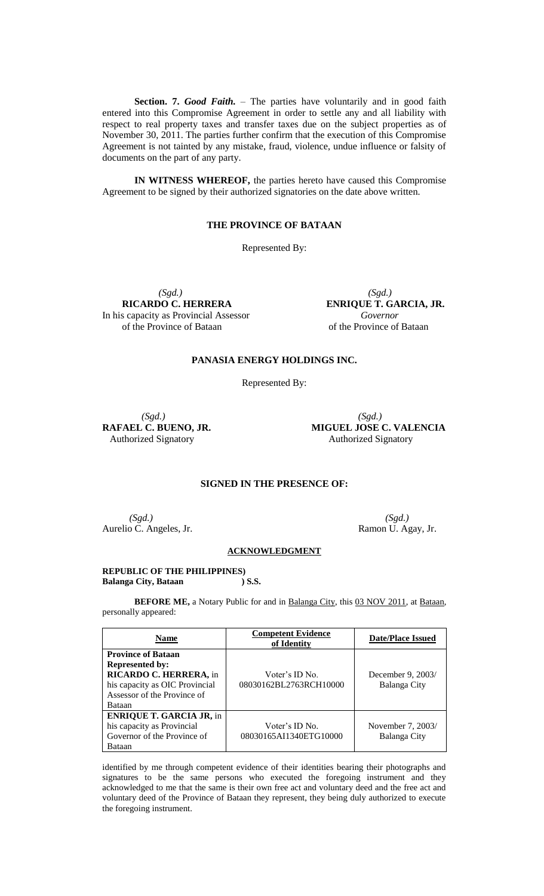**Section. 7.** *Good Faith.* – The parties have voluntarily and in good faith entered into this Compromise Agreement in order to settle any and all liability with respect to real property taxes and transfer taxes due on the subject properties as of November 30, 2011. The parties further confirm that the execution of this Compromise Agreement is not tainted by any mistake, fraud, violence, undue influence or falsity of documents on the part of any party.

**IN WITNESS WHEREOF,** the parties hereto have caused this Compromise Agreement to be signed by their authorized signatories on the date above written.

# **THE PROVINCE OF BATAAN**

Represented By:

 *(Sgd.) (Sgd.)* **RICARDO C. HERRERA ENRIQUE T. GARCIA, JR.**<br> **ENRIQUE T. GARCIA, JR.**<br> *Governor* In his capacity as Provincial Assessor of the Province of Bataan of the Province of Bataan

# **PANASIA ENERGY HOLDINGS INC.**

Represented By:

*(Sgd.) (Sgd.)*

**RAFAEL C. BUENO, JR. MIGUEL JOSE C. VALENCIA** Authorized Signatory Authorized Signatory

### **SIGNED IN THE PRESENCE OF:**

*(Sgd.) (Sgd.)* Aurelio C. Angeles, Jr. Ramon U. Agay, Jr.

#### **ACKNOWLEDGMENT**

#### **REPUBLIC OF THE PHILIPPINES)**<br>Balanga City, Bataan (1995) **Balanga City, Bataan**

**BEFORE ME,** a Notary Public for and in Balanga City, this 03 NOV 2011, at Bataan, personally appeared:

| Name                                                                                                                                                     | <b>Competent Evidence</b><br>of Identity | <b>Date/Place Issued</b>          |
|----------------------------------------------------------------------------------------------------------------------------------------------------------|------------------------------------------|-----------------------------------|
| <b>Province of Bataan</b><br><b>Represented by:</b><br>RICARDO C. HERRERA, in<br>his capacity as OIC Provincial<br>Assessor of the Province of<br>Bataan | Voter's ID No.<br>08030162BL2763RCH10000 | December 9, 2003/<br>Balanga City |
| <b>ENRIQUE T. GARCIA JR, in</b><br>his capacity as Provincial<br>Governor of the Province of<br>Bataan                                                   | Voter's ID No.<br>08030165AI1340ETG10000 | November 7, 2003/<br>Balanga City |

identified by me through competent evidence of their identities bearing their photographs and signatures to be the same persons who executed the foregoing instrument and they acknowledged to me that the same is their own free act and voluntary deed and the free act and voluntary deed of the Province of Bataan they represent, they being duly authorized to execute the foregoing instrument.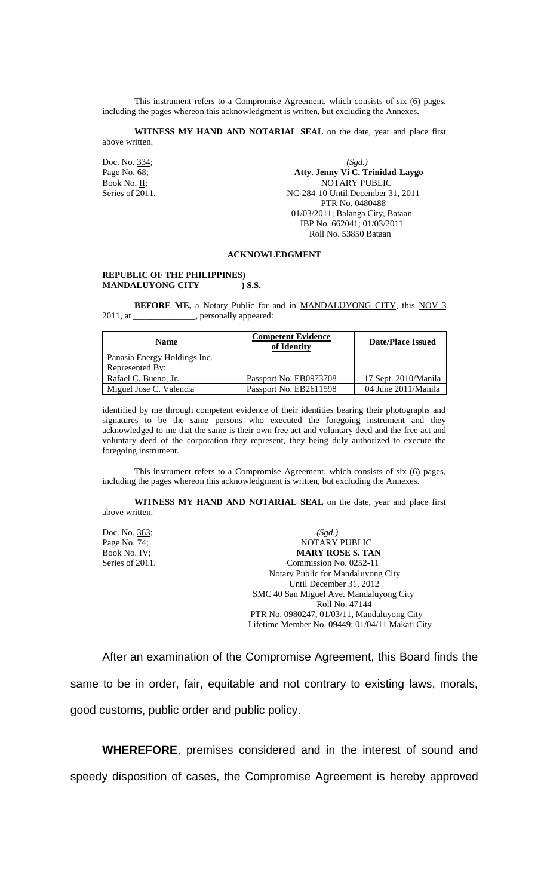This instrument refers to a Compromise Agreement, which consists of six (6) pages, including the pages whereon this acknowledgment is written, but excluding the Annexes.

**WITNESS MY HAND AND NOTARIAL SEAL** on the date, year and place first above written.

Doc. No. 334; *(Sgd.)* Page No. 68; **Atty. Jenny Vi C. Trinidad-Laygo** Book No. II; NOTARY PUBLIC Series of 2011. NC-284-10 Until December 31, 2011 PTR No. 0480488 01/03/2011; Balanga City, Bataan IBP No. 662041; 01/03/2011 Roll No. 53850 Bataan

#### **ACKNOWLEDGMENT**

#### **REPUBLIC OF THE PHILIPPINES) MANDALUYONG CITY ) S.S.**

**BEFORE ME,** a Notary Public for and in **MANDALUYONG CITY**, this NOV 3 2011, at \_\_\_\_\_\_\_\_\_\_\_\_\_\_, personally appeared:

| <b>Name</b>                  | <b>Competent Evidence</b><br>of Identity | <b>Date/Place Issued</b> |
|------------------------------|------------------------------------------|--------------------------|
| Panasia Energy Holdings Inc. |                                          |                          |
| Represented By:              |                                          |                          |
| Rafael C. Bueno, Jr.         | Passport No. EB0973708                   | 17 Sept. 2010/Manila     |
| Miguel Jose C. Valencia      | Passport No. EB2611598                   | 04 June 2011/Manila      |

identified by me through competent evidence of their identities bearing their photographs and signatures to be the same persons who executed the foregoing instrument and they acknowledged to me that the same is their own free act and voluntary deed and the free act and voluntary deed of the corporation they represent, they being duly authorized to execute the foregoing instrument.

This instrument refers to a Compromise Agreement, which consists of six (6) pages, including the pages whereon this acknowledgment is written, but excluding the Annexes.

**WITNESS MY HAND AND NOTARIAL SEAL** on the date, year and place first above written.

Doc. No. 363; *(Sgd.)* Page No. 74; NOTARY PUBLIC Book No. IV; **MARY ROSE S. TAN** Series of 2011. Commission No. 0252-11 Notary Public for Mandaluyong City Until December 31, 2012 SMC 40 San Miguel Ave. Mandaluyong City Roll No. 47144 PTR No. 0980247, 01/03/11, Mandaluyong City Lifetime Member No. 09449; 01/04/11 Makati City

After an examination of the Compromise Agreement, this Board finds the same to be in order, fair, equitable and not contrary to existing laws, morals, good customs, public order and public policy.

**WHEREFORE**, premises considered and in the interest of sound and speedy disposition of cases, the Compromise Agreement is hereby approved